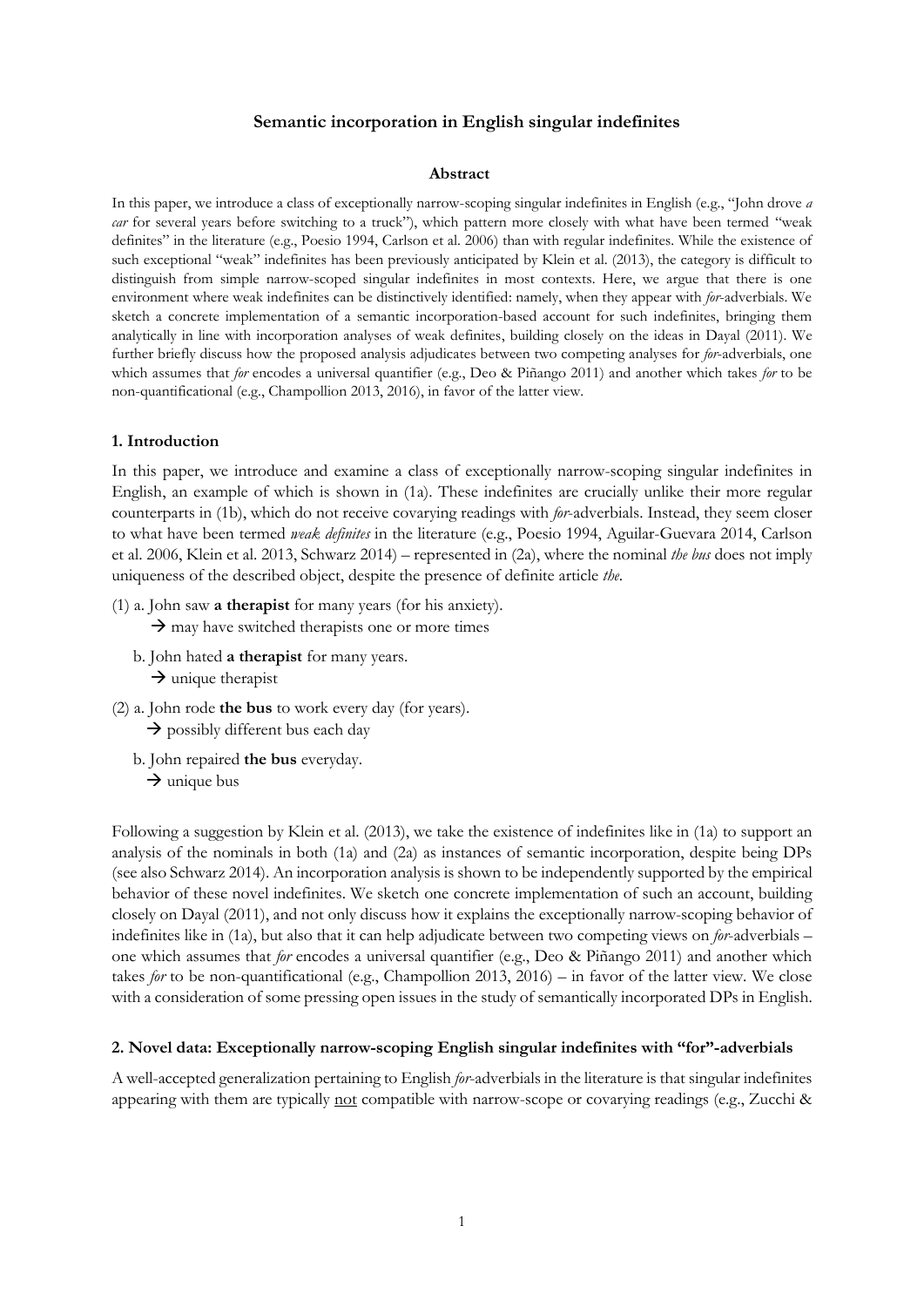## **Semantic incorporation in English singular indefinites**

#### **Abstract**

In this paper, we introduce a class of exceptionally narrow-scoping singular indefinites in English (e.g., "John drove *a car* for several years before switching to a truck"), which pattern more closely with what have been termed "weak definites" in the literature (e.g., Poesio 1994, Carlson et al. 2006) than with regular indefinites. While the existence of such exceptional "weak" indefinites has been previously anticipated by Klein et al. (2013), the category is difficult to distinguish from simple narrow-scoped singular indefinites in most contexts. Here, we argue that there is one environment where weak indefinites can be distinctively identified: namely, when they appear with *for*-adverbials. We sketch a concrete implementation of a semantic incorporation-based account for such indefinites, bringing them analytically in line with incorporation analyses of weak definites, building closely on the ideas in Dayal (2011). We further briefly discuss how the proposed analysis adjudicates between two competing analyses for *for*-adverbials, one which assumes that *for* encodes a universal quantifier (e.g., Deo & Piñango 2011) and another which takes *for* to be non-quantificational (e.g., Champollion 2013, 2016), in favor of the latter view.

## **1. Introduction**

In this paper, we introduce and examine a class of exceptionally narrow-scoping singular indefinites in English, an example of which is shown in (1a). These indefinites are crucially unlike their more regular counterparts in (1b), which do not receive covarying readings with *for*-adverbials. Instead, they seem closer to what have been termed *weak definites* in the literature (e.g., Poesio 1994, Aguilar-Guevara 2014, Carlson et al. 2006, Klein et al. 2013, Schwarz 2014) – represented in (2a), where the nominal *the bus* does not imply uniqueness of the described object, despite the presence of definite article *the*.

(1) a. John saw **a therapist** for many years (for his anxiety).

 $\rightarrow$  may have switched therapists one or more times

- b. John hated **a therapist** for many years.  $\rightarrow$  unique therapist
- (2) a. John rode **the bus** to work every day (for years).  $\rightarrow$  possibly different bus each day
	- b. John repaired **the bus** everyday.  $\rightarrow$  unique bus

Following a suggestion by Klein et al. (2013), we take the existence of indefinites like in (1a) to support an analysis of the nominals in both (1a) and (2a) as instances of semantic incorporation, despite being DPs (see also Schwarz 2014). An incorporation analysis is shown to be independently supported by the empirical behavior of these novel indefinites. We sketch one concrete implementation of such an account, building closely on Dayal (2011), and not only discuss how it explains the exceptionally narrow-scoping behavior of indefinites like in (1a), but also that it can help adjudicate between two competing views on *for*-adverbials – one which assumes that *for* encodes a universal quantifier (e.g., Deo & Piñango 2011) and another which takes *for* to be non-quantificational (e.g., Champollion 2013, 2016) – in favor of the latter view. We close with a consideration of some pressing open issues in the study of semantically incorporated DPs in English.

## **2. Novel data: Exceptionally narrow-scoping English singular indefinites with "for"-adverbials**

A well-accepted generalization pertaining to English *for*-adverbials in the literature is that singular indefinites appearing with them are typically not compatible with narrow-scope or covarying readings (e.g., Zucchi &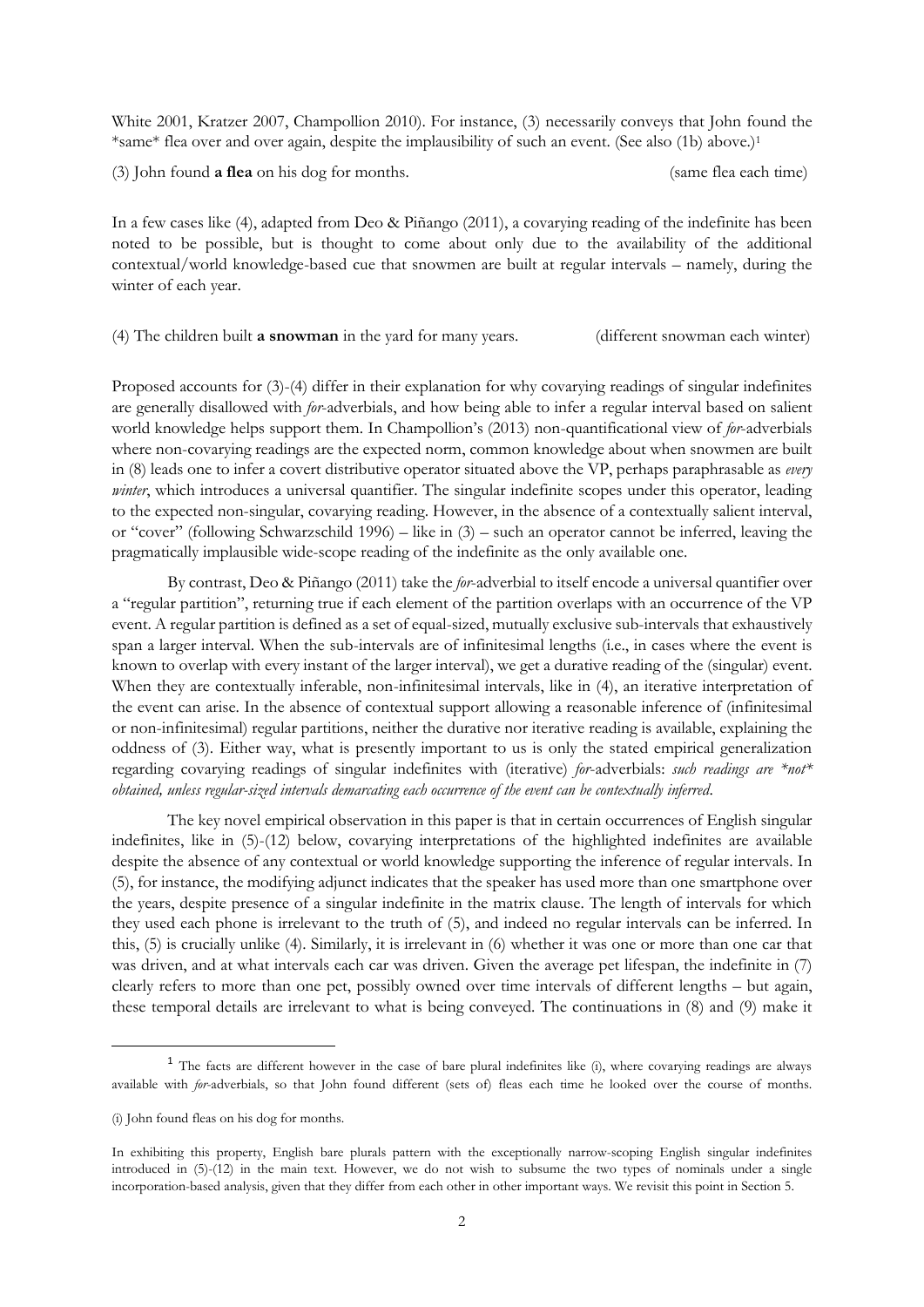White 2001, Kratzer 2007, Champollion 2010). For instance, (3) necessarily conveys that John found the \*same\* flea over and over again, despite the implausibility of such an event. (See also (1b) above.)<sup>1</sup>

(3) John found **a flea** on his dog for months. (same flea each time)

In a few cases like (4), adapted from Deo & Piñango (2011), a covarying reading of the indefinite has been noted to be possible, but is thought to come about only due to the availability of the additional contextual/world knowledge-based cue that snowmen are built at regular intervals – namely, during the winter of each year.

(4) The children built **a snowman** in the yard for many years. (different snowman each winter)

Proposed accounts for (3)-(4) differ in their explanation for why covarying readings of singular indefinites are generally disallowed with *for*-adverbials, and how being able to infer a regular interval based on salient world knowledge helps support them. In Champollion's (2013) non-quantificational view of *for*-adverbials where non-covarying readings are the expected norm, common knowledge about when snowmen are built in (8) leads one to infer a covert distributive operator situated above the VP, perhaps paraphrasable as *every winter*, which introduces a universal quantifier. The singular indefinite scopes under this operator, leading to the expected non-singular, covarying reading. However, in the absence of a contextually salient interval, or "cover" (following Schwarzschild 1996) – like in (3) – such an operator cannot be inferred, leaving the pragmatically implausible wide-scope reading of the indefinite as the only available one.

By contrast, Deo & Piñango (2011) take the *for*-adverbial to itself encode a universal quantifier over a "regular partition", returning true if each element of the partition overlaps with an occurrence of the VP event. A regular partition is defined as a set of equal-sized, mutually exclusive sub-intervals that exhaustively span a larger interval. When the sub-intervals are of infinitesimal lengths (i.e., in cases where the event is known to overlap with every instant of the larger interval), we get a durative reading of the (singular) event. When they are contextually inferable, non-infinitesimal intervals, like in (4), an iterative interpretation of the event can arise. In the absence of contextual support allowing a reasonable inference of (infinitesimal or non-infinitesimal) regular partitions, neither the durative nor iterative reading is available, explaining the oddness of (3). Either way, what is presently important to us is only the stated empirical generalization regarding covarying readings of singular indefinites with (iterative) *for*-adverbials: *such readings are \*not\* obtained, unless regular-sized intervals demarcating each occurrence of the event can be contextually inferred*.

The key novel empirical observation in this paper is that in certain occurrences of English singular indefinites, like in (5)-(12) below, covarying interpretations of the highlighted indefinites are available despite the absence of any contextual or world knowledge supporting the inference of regular intervals. In (5), for instance, the modifying adjunct indicates that the speaker has used more than one smartphone over the years, despite presence of a singular indefinite in the matrix clause. The length of intervals for which they used each phone is irrelevant to the truth of (5), and indeed no regular intervals can be inferred. In this, (5) is crucially unlike (4). Similarly, it is irrelevant in (6) whether it was one or more than one car that was driven, and at what intervals each car was driven. Given the average pet lifespan, the indefinite in (7) clearly refers to more than one pet, possibly owned over time intervals of different lengths – but again, these temporal details are irrelevant to what is being conveyed. The continuations in (8) and (9) make it

<sup>&</sup>lt;sup>1</sup> The facts are different however in the case of bare plural indefinites like (i), where covarying readings are always available with *for*-adverbials, so that John found different (sets of) fleas each time he looked over the course of months.

<sup>(</sup>i) John found fleas on his dog for months.

In exhibiting this property, English bare plurals pattern with the exceptionally narrow-scoping English singular indefinites introduced in (5)-(12) in the main text. However, we do not wish to subsume the two types of nominals under a single incorporation-based analysis, given that they differ from each other in other important ways. We revisit this point in Section 5.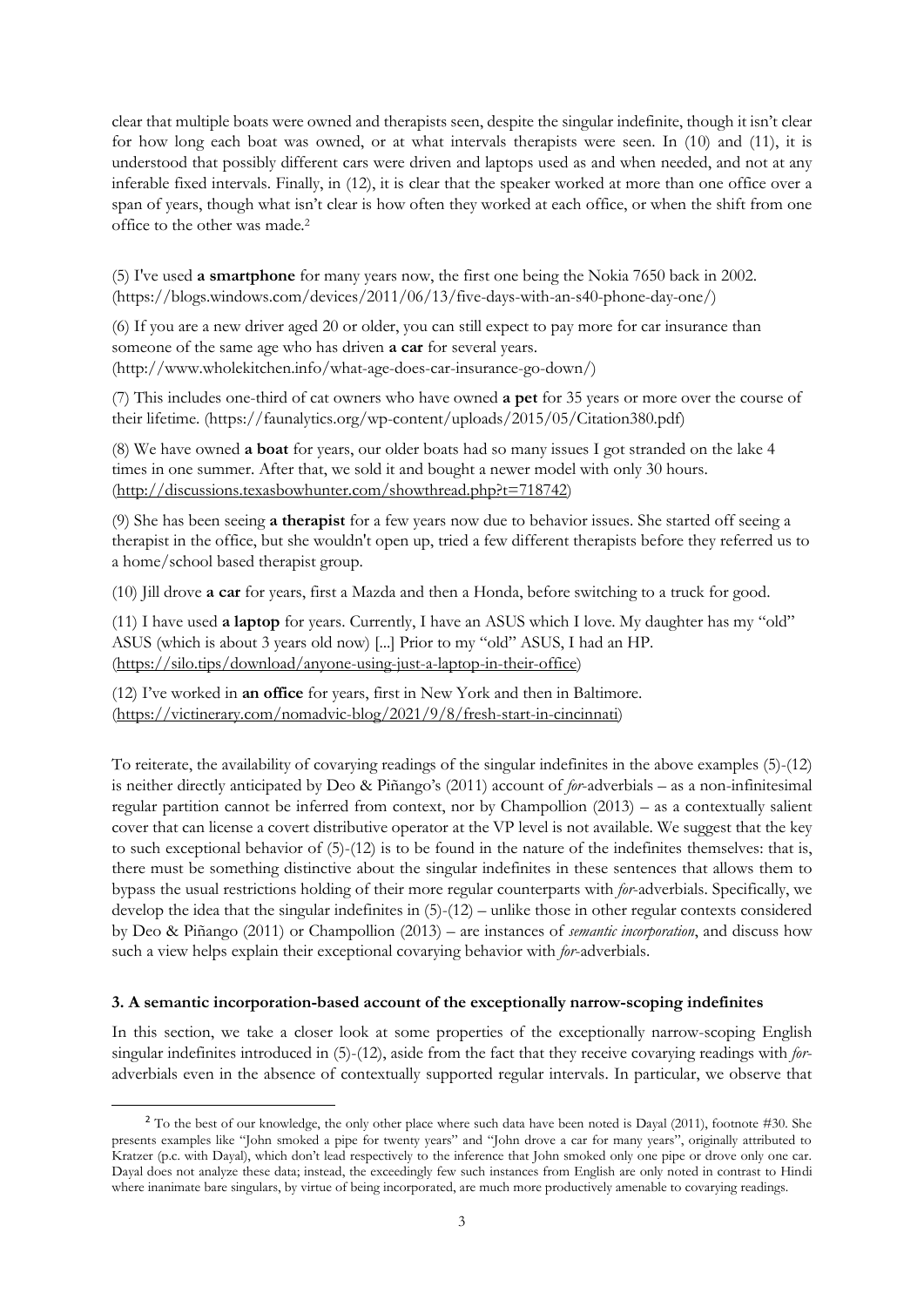clear that multiple boats were owned and therapists seen, despite the singular indefinite, though it isn't clear for how long each boat was owned, or at what intervals therapists were seen. In (10) and (11), it is understood that possibly different cars were driven and laptops used as and when needed, and not at any inferable fixed intervals. Finally, in (12), it is clear that the speaker worked at more than one office over a span of years, though what isn't clear is how often they worked at each office, or when the shift from one office to the other was made.<sup>2</sup>

(5) I've used **a smartphone** for many years now, the first one being the Nokia 7650 back in 2002. (https://blogs.windows.com/devices/2011/06/13/five-days-with-an-s40-phone-day-one/)

(6) If you are a new driver aged 20 or older, you can still expect to pay more for car insurance than someone of the same age who has driven **a car** for several years. (http://www.wholekitchen.info/what-age-does-car-insurance-go-down/)

(7) This includes one-third of cat owners who have owned **a pet** for 35 years or more over the course of their lifetime. (https://faunalytics.org/wp-content/uploads/2015/05/Citation380.pdf)

(8) We have owned **a boat** for years, our older boats had so many issues I got stranded on the lake 4 times in one summer. After that, we sold it and bought a newer model with only 30 hours. [\(http://discussions.texasbowhunter.com/showthread.php?t=718742\)](http://discussions.texasbowhunter.com/showthread.php?t=718742)

(9) She has been seeing **a therapist** for a few years now due to behavior issues. She started off seeing a therapist in the office, but she wouldn't open up, tried a few different therapists before they referred us to a home/school based therapist group.

(10) Jill drove **a car** for years, first a Mazda and then a Honda, before switching to a truck for good.

(11) I have used **a laptop** for years. Currently, I have an ASUS which I love. My daughter has my "old" ASUS (which is about 3 years old now) [...] Prior to my "old" ASUS, I had an HP. [\(https://silo.tips/download/anyone-using-just-a-laptop-in-their-office\)](https://silo.tips/download/anyone-using-just-a-laptop-in-their-office)

(12) I've worked in **an office** for years, first in New York and then in Baltimore. [\(https://victinerary.com/nomadvic-blog/2021/9/8/fresh-start-in-cincinnati\)](https://victinerary.com/nomadvic-blog/2021/9/8/fresh-start-in-cincinnati)

To reiterate, the availability of covarying readings of the singular indefinites in the above examples (5)-(12) is neither directly anticipated by Deo & Piñango's (2011) account of *for*-adverbials – as a non-infinitesimal regular partition cannot be inferred from context, nor by Champollion (2013) – as a contextually salient cover that can license a covert distributive operator at the VP level is not available. We suggest that the key to such exceptional behavior of (5)-(12) is to be found in the nature of the indefinites themselves: that is, there must be something distinctive about the singular indefinites in these sentences that allows them to bypass the usual restrictions holding of their more regular counterparts with *for*-adverbials. Specifically, we develop the idea that the singular indefinites in (5)-(12) – unlike those in other regular contexts considered by Deo & Piñango (2011) or Champollion (2013) – are instances of *semantic incorporation*, and discuss how such a view helps explain their exceptional covarying behavior with *for*-adverbials.

## **3. A semantic incorporation-based account of the exceptionally narrow-scoping indefinites**

In this section, we take a closer look at some properties of the exceptionally narrow-scoping English singular indefinites introduced in (5)-(12), aside from the fact that they receive covarying readings with *for*adverbials even in the absence of contextually supported regular intervals. In particular, we observe that

 $2$  To the best of our knowledge, the only other place where such data have been noted is Dayal (2011), footnote #30. She presents examples like "John smoked a pipe for twenty years" and "John drove a car for many years", originally attributed to Kratzer (p.c. with Dayal), which don't lead respectively to the inference that John smoked only one pipe or drove only one car. Dayal does not analyze these data; instead, the exceedingly few such instances from English are only noted in contrast to Hindi where inanimate bare singulars, by virtue of being incorporated, are much more productively amenable to covarying readings.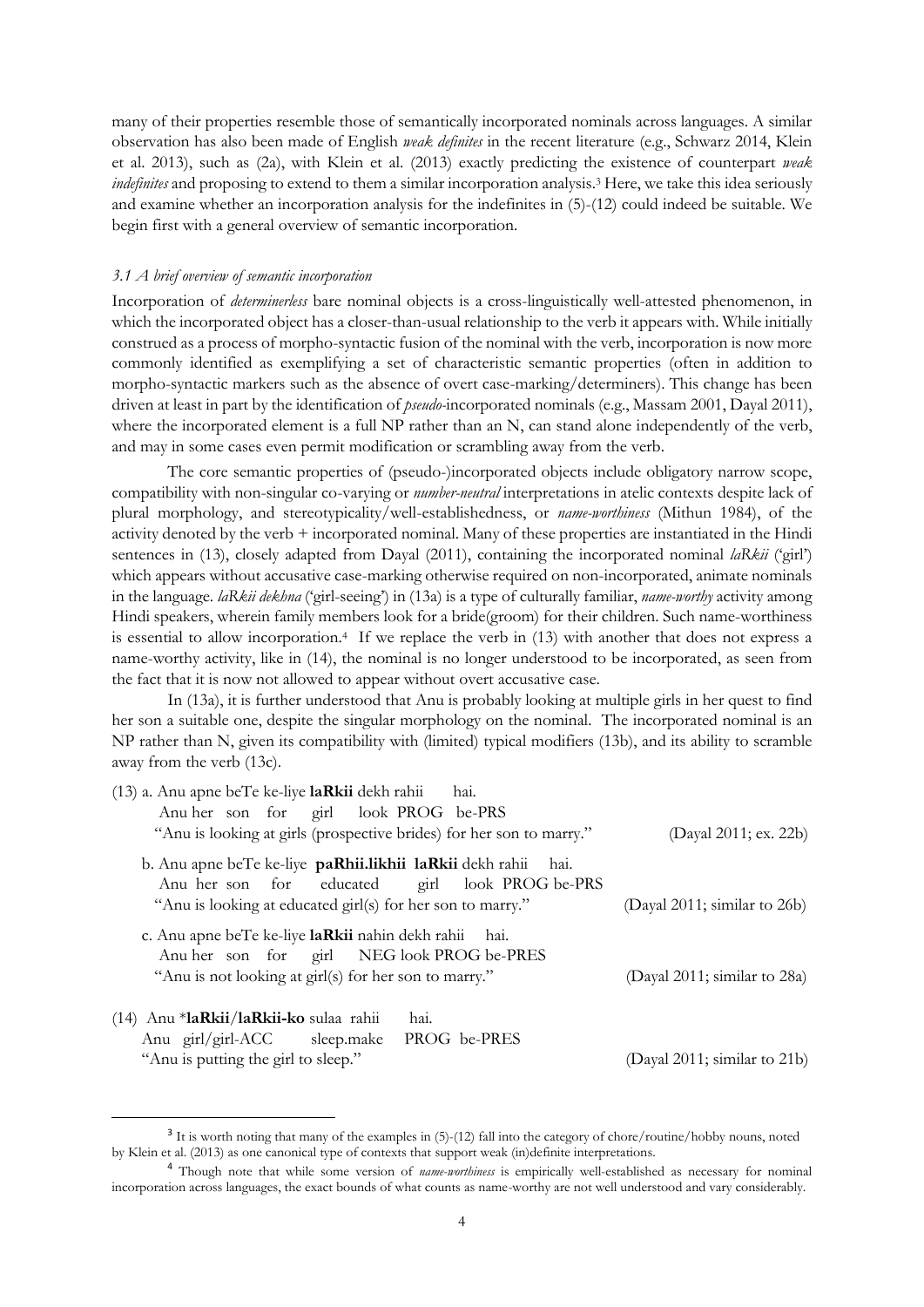many of their properties resemble those of semantically incorporated nominals across languages. A similar observation has also been made of English *weak definites* in the recent literature (e.g., Schwarz 2014, Klein et al. 2013), such as (2a), with Klein et al. (2013) exactly predicting the existence of counterpart *weak indefinites* and proposing to extend to them a similar incorporation analysis.<sup>3</sup> Here, we take this idea seriously and examine whether an incorporation analysis for the indefinites in (5)-(12) could indeed be suitable. We begin first with a general overview of semantic incorporation.

## *3.1 A brief overview of semantic incorporation*

Incorporation of *determinerless* bare nominal objects is a cross-linguistically well-attested phenomenon, in which the incorporated object has a closer-than-usual relationship to the verb it appears with. While initially construed as a process of morpho-syntactic fusion of the nominal with the verb, incorporation is now more commonly identified as exemplifying a set of characteristic semantic properties (often in addition to morpho-syntactic markers such as the absence of overt case-marking/determiners). This change has been driven at least in part by the identification of *pseudo-*incorporated nominals (e.g., Massam 2001, Dayal 2011), where the incorporated element is a full NP rather than an N, can stand alone independently of the verb, and may in some cases even permit modification or scrambling away from the verb.

The core semantic properties of (pseudo-)incorporated objects include obligatory narrow scope, compatibility with non-singular co-varying or *number-neutral* interpretations in atelic contexts despite lack of plural morphology, and stereotypicality/well-establishedness, or *name-worthiness* (Mithun 1984), of the activity denoted by the verb + incorporated nominal. Many of these properties are instantiated in the Hindi sentences in (13), closely adapted from Dayal (2011), containing the incorporated nominal *laRkii* ('girl') which appears without accusative case-marking otherwise required on non-incorporated, animate nominals in the language. *laRkii dekhna* ('girl-seeing') in (13a) is a type of culturally familiar, *name-worthy* activity among Hindi speakers, wherein family members look for a bride(groom) for their children. Such name-worthiness is essential to allow incorporation.<sup>4</sup> If we replace the verb in (13) with another that does not express a name-worthy activity, like in (14), the nominal is no longer understood to be incorporated, as seen from the fact that it is now not allowed to appear without overt accusative case.

In (13a), it is further understood that Anu is probably looking at multiple girls in her quest to find her son a suitable one, despite the singular morphology on the nominal*.* The incorporated nominal is an NP rather than N, given its compatibility with (limited) typical modifiers (13b), and its ability to scramble away from the verb (13c).

| $(13)$ a. Anu apne beTe ke-liye laRkii dekh rahii<br>hai.                                                          |                              |
|--------------------------------------------------------------------------------------------------------------------|------------------------------|
| Anu her son for girl look PROG be-PRS                                                                              |                              |
| "Anu is looking at girls (prospective brides) for her son to marry."                                               | (Dayal 2011; ex. 22b)        |
| b. Anu apne beTe ke-liye paRhii.likhii laRkii dekh rahii<br>hai.<br>Anu her son for educated girl look PROG be-PRS |                              |
| "Anu is looking at educated girl(s) for her son to marry."                                                         | (Dayal 2011; similar to 26b) |
| c. Anu apne beTe ke-liye laRkii nahin dekh rahii hai.<br>Anu her son for girl NEG look PROG be-PRES                |                              |
| "Anu is not looking at girl(s) for her son to marry."                                                              | (Dayal 2011; similar to 28a) |
| (14) Anu *laRkii/laRkii-ko sulaa rahii<br>hai.                                                                     |                              |
| Anu girl/girl-ACC sleep.make PROG be-PRES                                                                          |                              |
| "Anu is putting the girl to sleep."                                                                                | (Dayal 2011; similar to 21b) |

<sup>3</sup> It is worth noting that many of the examples in (5)-(12) fall into the category of chore/routine/hobby nouns, noted by Klein et al. (2013) as one canonical type of contexts that support weak (in)definite interpretations.

<sup>4</sup> Though note that while some version of *name-worthiness* is empirically well-established as necessary for nominal incorporation across languages, the exact bounds of what counts as name-worthy are not well understood and vary considerably.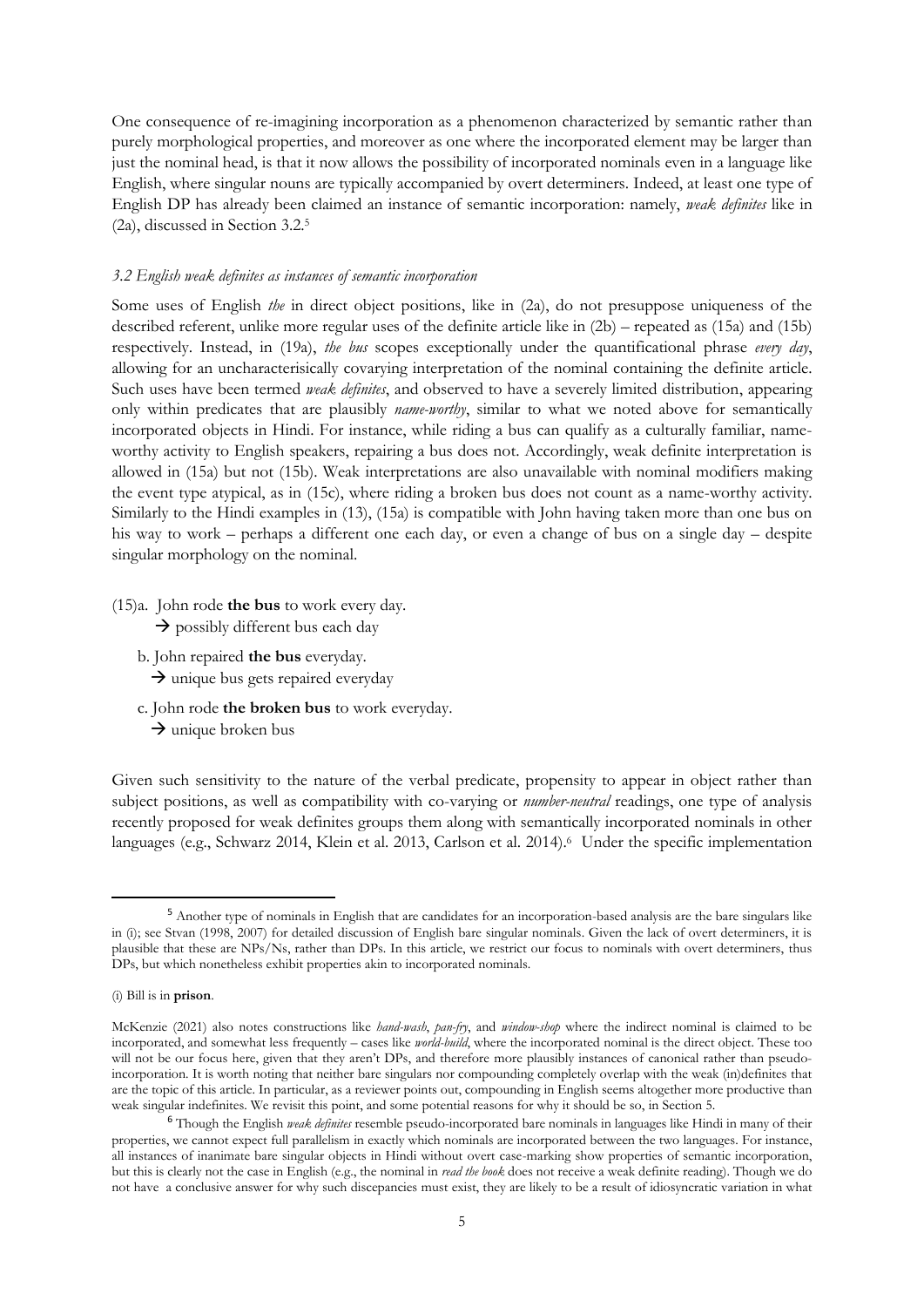One consequence of re-imagining incorporation as a phenomenon characterized by semantic rather than purely morphological properties, and moreover as one where the incorporated element may be larger than just the nominal head, is that it now allows the possibility of incorporated nominals even in a language like English, where singular nouns are typically accompanied by overt determiners. Indeed, at least one type of English DP has already been claimed an instance of semantic incorporation: namely, *weak definites* like in (2a), discussed in Section 3.2. 5

### *3.2 English weak definites as instances of semantic incorporation*

Some uses of English *the* in direct object positions, like in (2a), do not presuppose uniqueness of the described referent, unlike more regular uses of the definite article like in (2b) – repeated as (15a) and (15b) respectively. Instead, in (19a), *the bus* scopes exceptionally under the quantificational phrase *every day*, allowing for an uncharacterisically covarying interpretation of the nominal containing the definite article. Such uses have been termed *weak definites*, and observed to have a severely limited distribution, appearing only within predicates that are plausibly *name-worthy*, similar to what we noted above for semantically incorporated objects in Hindi. For instance, while riding a bus can qualify as a culturally familiar, nameworthy activity to English speakers, repairing a bus does not. Accordingly, weak definite interpretation is allowed in (15a) but not (15b). Weak interpretations are also unavailable with nominal modifiers making the event type atypical, as in (15c), where riding a broken bus does not count as a name-worthy activity. Similarly to the Hindi examples in (13), (15a) is compatible with John having taken more than one bus on his way to work – perhaps a different one each day, or even a change of bus on a single day – despite singular morphology on the nominal.

(15)a. John rode **the bus** to work every day.  $\rightarrow$  possibly different bus each day

- b. John repaired **the bus** everyday.
	- $\rightarrow$  unique bus gets repaired everyday
- c. John rode **the broken bus** to work everyday.
	- $\rightarrow$  unique broken bus

Given such sensitivity to the nature of the verbal predicate, propensity to appear in object rather than subject positions, as well as compatibility with co-varying or *number-neutral* readings, one type of analysis recently proposed for weak definites groups them along with semantically incorporated nominals in other languages (e.g., Schwarz 2014, Klein et al. 2013, Carlson et al. 2014).<sup>6</sup> Under the specific implementation

<sup>5</sup> Another type of nominals in English that are candidates for an incorporation-based analysis are the bare singulars like in (i); see Stvan (1998, 2007) for detailed discussion of English bare singular nominals. Given the lack of overt determiners, it is plausible that these are NPs/Ns, rather than DPs. In this article, we restrict our focus to nominals with overt determiners, thus DPs, but which nonetheless exhibit properties akin to incorporated nominals.

<sup>(</sup>i) Bill is in **prison**.

McKenzie (2021) also notes constructions like *hand-wash*, *pan-fry*, and *window-shop* where the indirect nominal is claimed to be incorporated, and somewhat less frequently – cases like *world-build*, where the incorporated nominal is the direct object. These too will not be our focus here, given that they aren't DPs, and therefore more plausibly instances of canonical rather than pseudoincorporation. It is worth noting that neither bare singulars nor compounding completely overlap with the weak (in)definites that are the topic of this article. In particular, as a reviewer points out, compounding in English seems altogether more productive than weak singular indefinites. We revisit this point, and some potential reasons for why it should be so, in Section 5.

<sup>6</sup> Though the English *weak definites* resemble pseudo-incorporated bare nominals in languages like Hindi in many of their properties, we cannot expect full parallelism in exactly which nominals are incorporated between the two languages. For instance, all instances of inanimate bare singular objects in Hindi without overt case-marking show properties of semantic incorporation, but this is clearly not the case in English (e.g., the nominal in *read the book* does not receive a weak definite reading). Though we do not have a conclusive answer for why such discepancies must exist, they are likely to be a result of idiosyncratic variation in what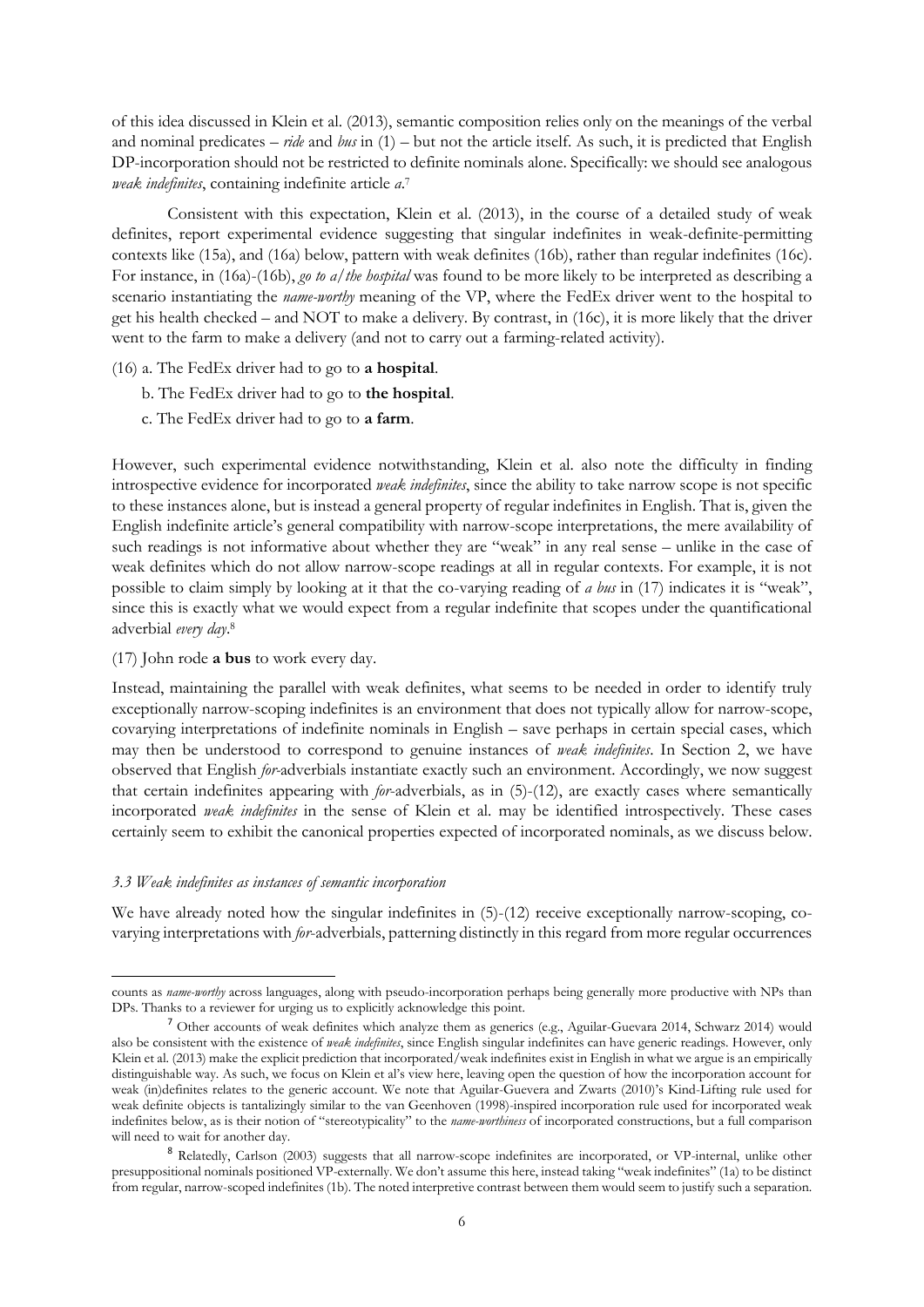of this idea discussed in Klein et al. (2013), semantic composition relies only on the meanings of the verbal and nominal predicates – *ride* and *bus* in (1) – but not the article itself. As such, it is predicted that English DP-incorporation should not be restricted to definite nominals alone. Specifically: we should see analogous *weak indefinites*, containing indefinite article *a*. 7

Consistent with this expectation, Klein et al. (2013), in the course of a detailed study of weak definites, report experimental evidence suggesting that singular indefinites in weak-definite-permitting contexts like (15a), and (16a) below, pattern with weak definites (16b), rather than regular indefinites (16c). For instance, in (16a)-(16b), *go to a/the hospital* was found to be more likely to be interpreted as describing a scenario instantiating the *name-worthy* meaning of the VP, where the FedEx driver went to the hospital to get his health checked – and NOT to make a delivery. By contrast, in (16c), it is more likely that the driver went to the farm to make a delivery (and not to carry out a farming-related activity).

- (16) a. The FedEx driver had to go to **a hospital**.
	- b. The FedEx driver had to go to **the hospital**.
	- c. The FedEx driver had to go to **a farm**.

However, such experimental evidence notwithstanding, Klein et al. also note the difficulty in finding introspective evidence for incorporated *weak indefinites*, since the ability to take narrow scope is not specific to these instances alone, but is instead a general property of regular indefinites in English. That is, given the English indefinite article's general compatibility with narrow-scope interpretations, the mere availability of such readings is not informative about whether they are "weak" in any real sense – unlike in the case of weak definites which do not allow narrow-scope readings at all in regular contexts. For example, it is not possible to claim simply by looking at it that the co-varying reading of *a bus* in (17) indicates it is "weak", since this is exactly what we would expect from a regular indefinite that scopes under the quantificational adverbial *every day*. 8

(17) John rode **a bus** to work every day.

Instead, maintaining the parallel with weak definites, what seems to be needed in order to identify truly exceptionally narrow-scoping indefinites is an environment that does not typically allow for narrow-scope, covarying interpretations of indefinite nominals in English – save perhaps in certain special cases, which may then be understood to correspond to genuine instances of *weak indefinites*. In Section 2, we have observed that English *for-*adverbials instantiate exactly such an environment. Accordingly, we now suggest that certain indefinites appearing with *for*-adverbials, as in (5)-(12), are exactly cases where semantically incorporated *weak indefinites* in the sense of Klein et al. may be identified introspectively. These cases certainly seem to exhibit the canonical properties expected of incorporated nominals, as we discuss below.

## *3.3 Weak indefinites as instances of semantic incorporation*

We have already noted how the singular indefinites in  $(5)-(12)$  receive exceptionally narrow-scoping, covarying interpretations with *for*-adverbials, patterning distinctly in this regard from more regular occurrences

counts as *name-worthy* across languages, along with pseudo-incorporation perhaps being generally more productive with NPs than DPs. Thanks to a reviewer for urging us to explicitly acknowledge this point.

<sup>7</sup> Other accounts of weak definites which analyze them as generics (e.g., Aguilar-Guevara 2014, Schwarz 2014) would also be consistent with the existence of *weak indefinites*, since English singular indefinites can have generic readings. However, only Klein et al. (2013) make the explicit prediction that incorporated/weak indefinites exist in English in what we argue is an empirically distinguishable way. As such, we focus on Klein et al's view here, leaving open the question of how the incorporation account for weak (in)definites relates to the generic account. We note that Aguilar-Guevera and Zwarts (2010)'s Kind-Lifting rule used for weak definite objects is tantalizingly similar to the van Geenhoven (1998)-inspired incorporation rule used for incorporated weak indefinites below, as is their notion of "stereotypicality" to the *name-worthiness* of incorporated constructions, but a full comparison will need to wait for another day.

<sup>8</sup> Relatedly, Carlson (2003) suggests that all narrow-scope indefinites are incorporated, or VP-internal, unlike other presuppositional nominals positioned VP-externally. We don't assume this here, instead taking "weak indefinites" (1a) to be distinct from regular, narrow-scoped indefinites (1b). The noted interpretive contrast between them would seem to justify such a separation.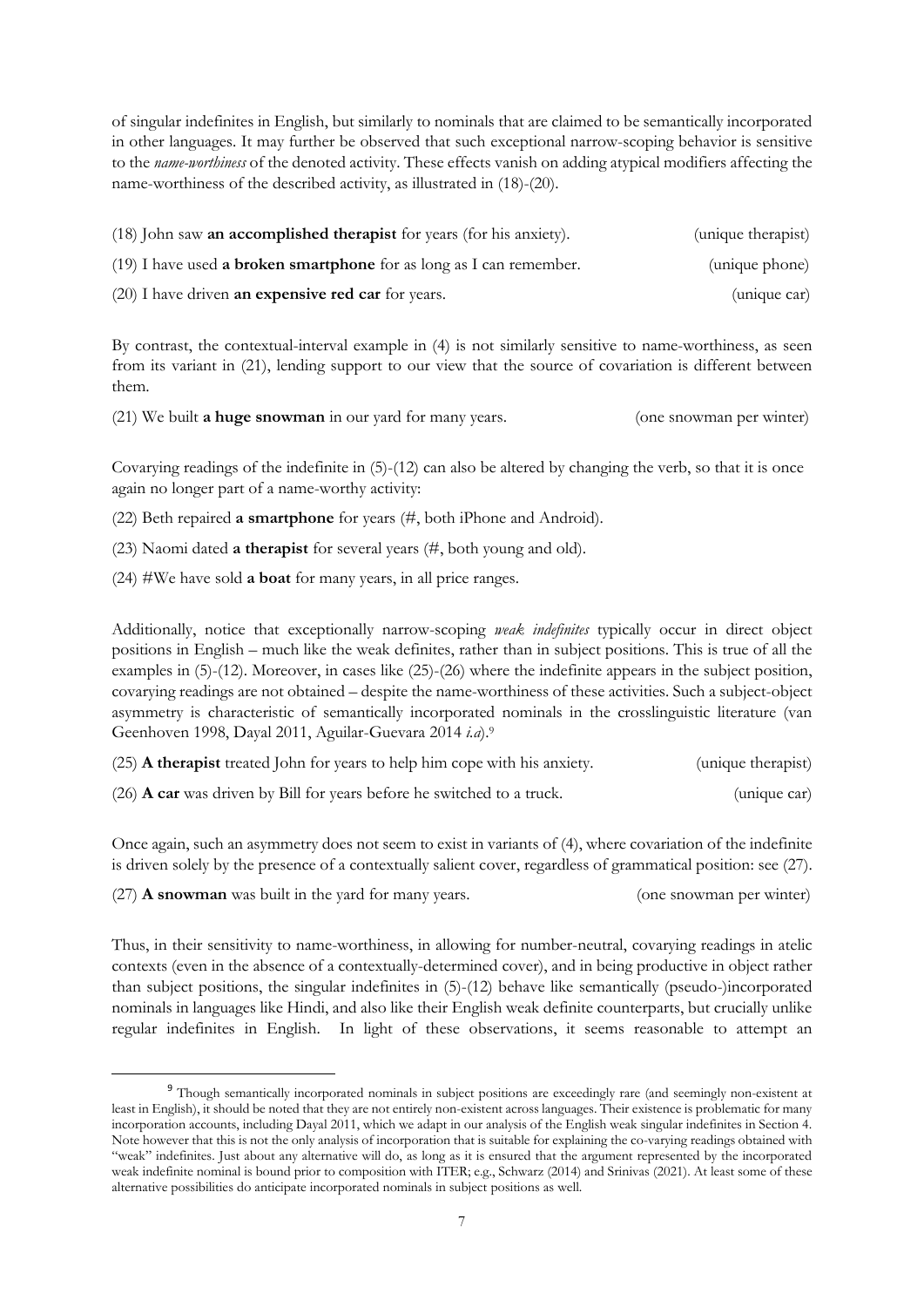of singular indefinites in English, but similarly to nominals that are claimed to be semantically incorporated in other languages. It may further be observed that such exceptional narrow-scoping behavior is sensitive to the *name-worthiness* of the denoted activity. These effects vanish on adding atypical modifiers affecting the name-worthiness of the described activity, as illustrated in (18)-(20).

| (18) John saw <b>an accomplished therapist</b> for years (for his anxiety).  | (unique therapist) |  |
|------------------------------------------------------------------------------|--------------------|--|
| $(19)$ I have used <b>a broken smartphone</b> for as long as I can remember. | (unique phone)     |  |
| (20) I have driven <b>an expensive red car</b> for years.                    | (unique car)       |  |

By contrast, the contextual-interval example in (4) is not similarly sensitive to name-worthiness, as seen from its variant in (21), lending support to our view that the source of covariation is different between them.

(21) We built **a huge snowman** in our yard for many years. (one snowman per winter)

Covarying readings of the indefinite in (5)-(12) can also be altered by changing the verb, so that it is once again no longer part of a name-worthy activity:

(22) Beth repaired **a smartphone** for years (#, both iPhone and Android).

(23) Naomi dated **a therapist** for several years (#, both young and old).

(24) #We have sold **a boat** for many years, in all price ranges.

Additionally, notice that exceptionally narrow-scoping *weak indefinites* typically occur in direct object positions in English – much like the weak definites, rather than in subject positions. This is true of all the examples in (5)-(12). Moreover, in cases like (25)-(26) where the indefinite appears in the subject position, covarying readings are not obtained – despite the name-worthiness of these activities. Such a subject-object asymmetry is characteristic of semantically incorporated nominals in the crosslinguistic literature (van Geenhoven 1998, Dayal 2011, Aguilar-Guevara 2014 *i.a*).<sup>9</sup>

| (25) A therapist treated John for years to help him cope with his anxiety.      | (unique therapist) |
|---------------------------------------------------------------------------------|--------------------|
| $(26)$ <b>A car</b> was driven by Bill for years before he switched to a truck. | (unique car)       |

Once again, such an asymmetry does not seem to exist in variants of (4), where covariation of the indefinite is driven solely by the presence of a contextually salient cover, regardless of grammatical position: see (27).

(27) **A snowman** was built in the yard for many years. (one snowman per winter)

Thus, in their sensitivity to name-worthiness, in allowing for number-neutral, covarying readings in atelic contexts (even in the absence of a contextually-determined cover), and in being productive in object rather than subject positions, the singular indefinites in (5)-(12) behave like semantically (pseudo-)incorporated nominals in languages like Hindi, and also like their English weak definite counterparts, but crucially unlike regular indefinites in English. In light of these observations, it seems reasonable to attempt an

<sup>9</sup> Though semantically incorporated nominals in subject positions are exceedingly rare (and seemingly non-existent at least in English), it should be noted that they are not entirely non-existent across languages. Their existence is problematic for many incorporation accounts, including Dayal 2011, which we adapt in our analysis of the English weak singular indefinites in Section 4. Note however that this is not the only analysis of incorporation that is suitable for explaining the co-varying readings obtained with "weak" indefinites. Just about any alternative will do, as long as it is ensured that the argument represented by the incorporated weak indefinite nominal is bound prior to composition with ITER; e.g., Schwarz (2014) and Srinivas (2021). At least some of these alternative possibilities do anticipate incorporated nominals in subject positions as well.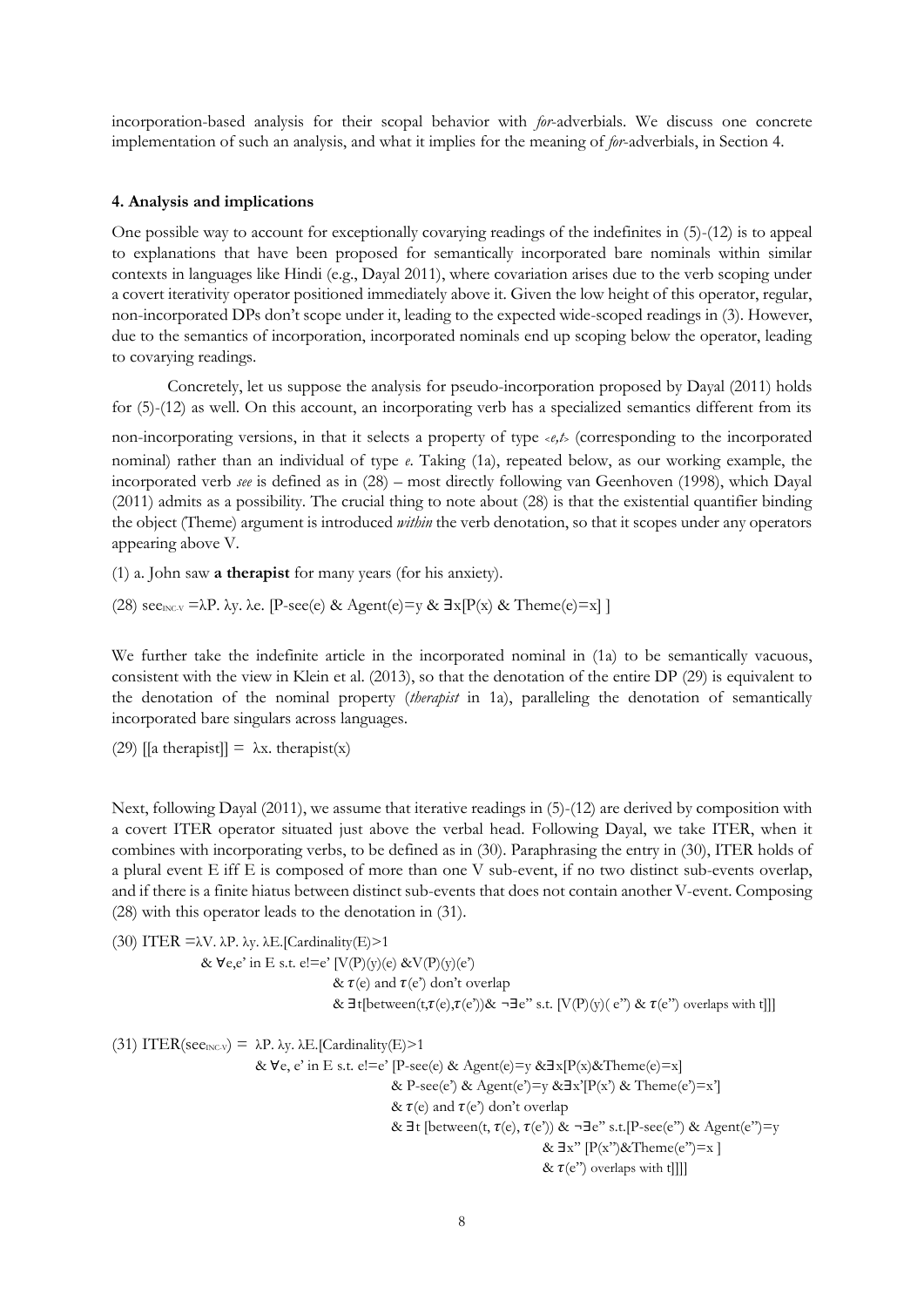incorporation-based analysis for their scopal behavior with *for*-adverbials. We discuss one concrete implementation of such an analysis, and what it implies for the meaning of *for*-adverbials, in Section 4.

## **4. Analysis and implications**

One possible way to account for exceptionally covarying readings of the indefinites in (5)-(12) is to appeal to explanations that have been proposed for semantically incorporated bare nominals within similar contexts in languages like Hindi (e.g., Dayal 2011), where covariation arises due to the verb scoping under a covert iterativity operator positioned immediately above it. Given the low height of this operator, regular, non-incorporated DPs don't scope under it, leading to the expected wide-scoped readings in (3). However, due to the semantics of incorporation, incorporated nominals end up scoping below the operator, leading to covarying readings.

Concretely, let us suppose the analysis for pseudo-incorporation proposed by Dayal (2011) holds for (5)-(12) as well. On this account, an incorporating verb has a specialized semantics different from its

non-incorporating versions, in that it selects a property of type <*e,t*> (corresponding to the incorporated nominal) rather than an individual of type *e*. Taking (1a), repeated below, as our working example, the incorporated verb *see* is defined as in (28) – most directly following van Geenhoven (1998), which Dayal (2011) admits as a possibility. The crucial thing to note about (28) is that the existential quantifier binding the object (Theme) argument is introduced *within* the verb denotation, so that it scopes under any operators appearing above V.

(1) a. John saw **a therapist** for many years (for his anxiety).

(28) see<sub>INC-V</sub> = $\lambda P$ .  $\lambda y$ .  $\lambda e$ . [P-see(e) & Agent(e)=y &  $\exists x[P(x) \&$  Theme(e)=x] ]

We further take the indefinite article in the incorporated nominal in  $(1a)$  to be semantically vacuous, consistent with the view in Klein et al. (2013), so that the denotation of the entire DP (29) is equivalent to the denotation of the nominal property (*therapist* in 1a), paralleling the denotation of semantically incorporated bare singulars across languages.

(29) [[a therapist]] =  $\lambda$ x. therapist(x)

Next, following Dayal (2011), we assume that iterative readings in (5)-(12) are derived by composition with a covert ITER operator situated just above the verbal head. Following Dayal, we take ITER, when it combines with incorporating verbs, to be defined as in (30). Paraphrasing the entry in (30), ITER holds of a plural event E iff E is composed of more than one V sub-event, if no two distinct sub-events overlap, and if there is a finite hiatus between distinct sub-events that does not contain another V-event. Composing (28) with this operator leads to the denotation in (31).

(30) ITER  $=\lambda V$ .  $\lambda P$ .  $\lambda y$ .  $\lambda E$ . [Cardinality(E)>1 &  $\forall e, e'$  in E s.t.  $e!=e'$  [V(P)(y)(e) &V(P)(y)(e') &  $\tau$ (e) and  $\tau$ (e') don't overlap &  $\exists t$ [between(t, $\tau(e), \tau(e')$ )& ¬ $\exists e$ " s.t. [V(P)(y)( e") &  $\tau(e)$ ") overlaps with t]]] (31) ITER(see<sub>INC-V</sub>) =  $\lambda$ P.  $\lambda$ y.  $\lambda$ E.[Cardinality(E)>1 & ∀e, e' in E s.t. e!=e' [P-see(e) & Agent(e)=y &∃x[P(x)&Theme(e)=x] & P-see(e') & Agent(e')=y & $\exists x'$ [P(x') & Theme(e')=x']

&  $\tau$ (e) and  $\tau$ (e') don't overlap

&  $\exists$ t [between(t,  $\tau$ (e),  $\tau$ (e')) & ¬ $\exists$ e'' s.t.[P-see(e'') & Agent(e'')=y &  $\exists x$ "  $[P(x")$ &Theme $(e") = x$ ]

&  $\tau(e'')$  overlaps with t]]]]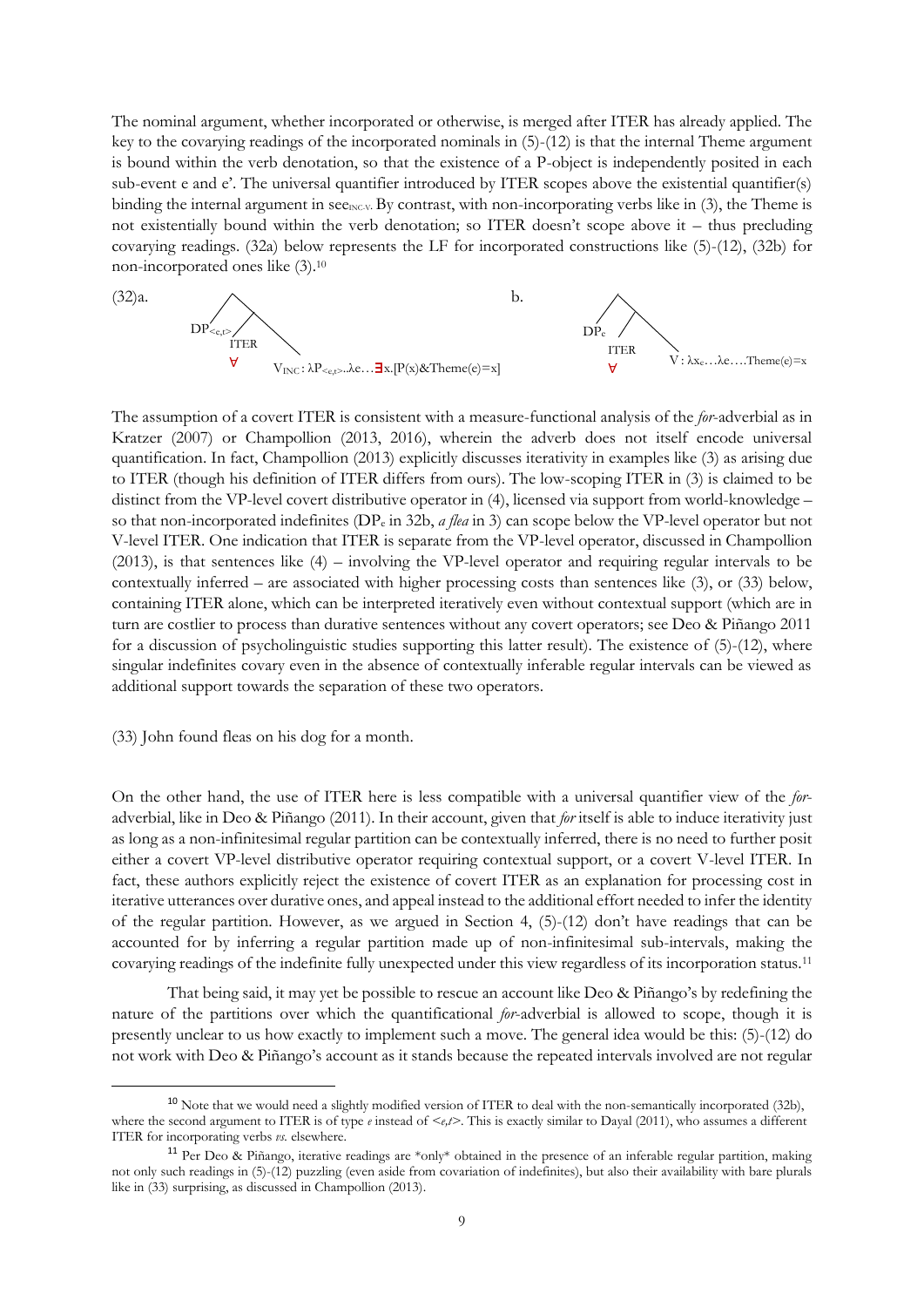The nominal argument, whether incorporated or otherwise, is merged after ITER has already applied. The key to the covarying readings of the incorporated nominals in (5)-(12) is that the internal Theme argument is bound within the verb denotation, so that the existence of a P-object is independently posited in each sub-event e and e'. The universal quantifier introduced by ITER scopes above the existential quantifier(s) binding the internal argument in see<sub>INCV</sub>. By contrast, with non-incorporating verbs like in  $(3)$ , the Theme is not existentially bound within the verb denotation; so ITER doesn't scope above it – thus precluding covarying readings. (32a) below represents the LF for incorporated constructions like (5)-(12), (32b) for non-incorporated ones like (3).<sup>10</sup>



The assumption of a covert ITER is consistent with a measure-functional analysis of the *for*-adverbial as in Kratzer (2007) or Champollion (2013, 2016), wherein the adverb does not itself encode universal quantification. In fact, Champollion (2013) explicitly discusses iterativity in examples like (3) as arising due to ITER (though his definition of ITER differs from ours). The low-scoping ITER in (3) is claimed to be distinct from the VP-level covert distributive operator in (4), licensed via support from world-knowledge – so that non-incorporated indefinites (DP<sup>e</sup> in 32b, *a flea* in 3) can scope below the VP-level operator but not V-level ITER. One indication that ITER is separate from the VP-level operator, discussed in Champollion (2013), is that sentences like (4) – involving the VP-level operator and requiring regular intervals to be contextually inferred – are associated with higher processing costs than sentences like (3), or (33) below, containing ITER alone, which can be interpreted iteratively even without contextual support (which are in turn are costlier to process than durative sentences without any covert operators; see Deo & Piñango 2011 for a discussion of psycholinguistic studies supporting this latter result). The existence of (5)-(12), where singular indefinites covary even in the absence of contextually inferable regular intervals can be viewed as additional support towards the separation of these two operators.

## (33) John found fleas on his dog for a month.

On the other hand, the use of ITER here is less compatible with a universal quantifier view of the *for*adverbial, like in Deo & Piñango (2011). In their account, given that *for* itself is able to induce iterativity just as long as a non-infinitesimal regular partition can be contextually inferred, there is no need to further posit either a covert VP-level distributive operator requiring contextual support, or a covert V-level ITER. In fact, these authors explicitly reject the existence of covert ITER as an explanation for processing cost in iterative utterances over durative ones, and appeal instead to the additional effort needed to infer the identity of the regular partition. However, as we argued in Section 4, (5)-(12) don't have readings that can be accounted for by inferring a regular partition made up of non-infinitesimal sub-intervals, making the covarying readings of the indefinite fully unexpected under this view regardless of its incorporation status.<sup>11</sup>

That being said, it may yet be possible to rescue an account like Deo & Piñango's by redefining the nature of the partitions over which the quantificational *for*-adverbial is allowed to scope, though it is presently unclear to us how exactly to implement such a move. The general idea would be this: (5)-(12) do not work with Deo & Piñango's account as it stands because the repeated intervals involved are not regular

<sup>&</sup>lt;sup>10</sup> Note that we would need a slightly modified version of ITER to deal with the non-semantically incorporated (32b), where the second argument to ITER is of type *e* instead of  $\lt e, t$ . This is exactly similar to Dayal (2011), who assumes a different ITER for incorporating verbs *vs.* elsewhere.

<sup>11</sup> Per Deo & Piñango, iterative readings are \*only\* obtained in the presence of an inferable regular partition, making not only such readings in (5)-(12) puzzling (even aside from covariation of indefinites), but also their availability with bare plurals like in (33) surprising, as discussed in Champollion (2013).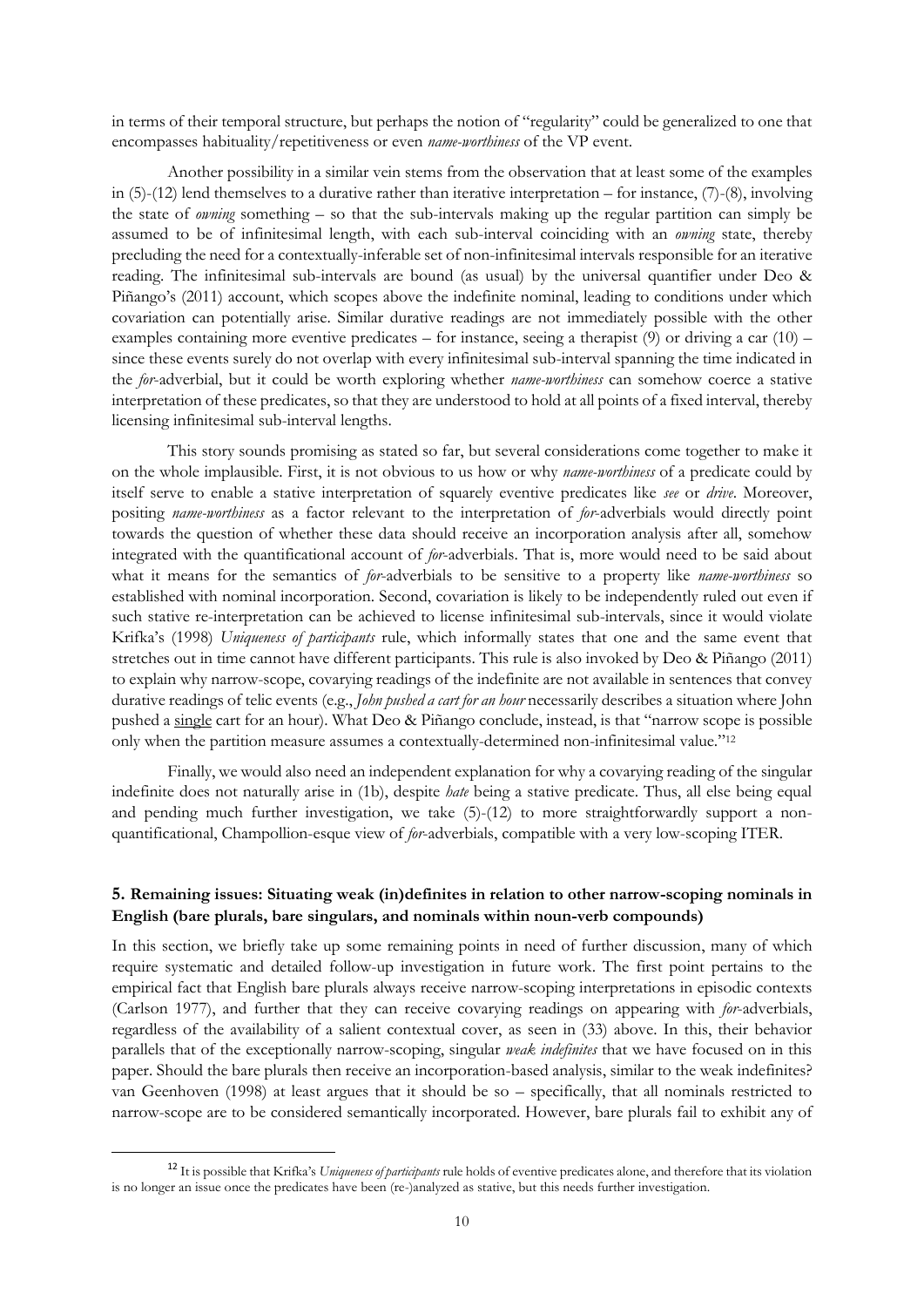in terms of their temporal structure, but perhaps the notion of "regularity" could be generalized to one that encompasses habituality/repetitiveness or even *name-worthiness* of the VP event.

Another possibility in a similar vein stems from the observation that at least some of the examples in (5)-(12) lend themselves to a durative rather than iterative interpretation – for instance, (7)-(8), involving the state of *owning* something – so that the sub-intervals making up the regular partition can simply be assumed to be of infinitesimal length, with each sub-interval coinciding with an *owning* state, thereby precluding the need for a contextually-inferable set of non-infinitesimal intervals responsible for an iterative reading. The infinitesimal sub-intervals are bound (as usual) by the universal quantifier under Deo & Piñango's (2011) account, which scopes above the indefinite nominal, leading to conditions under which covariation can potentially arise. Similar durative readings are not immediately possible with the other examples containing more eventive predicates – for instance, seeing a therapist (9) or driving a car (10) – since these events surely do not overlap with every infinitesimal sub-interval spanning the time indicated in the *for*-adverbial, but it could be worth exploring whether *name-worthiness* can somehow coerce a stative interpretation of these predicates, so that they are understood to hold at all points of a fixed interval, thereby licensing infinitesimal sub-interval lengths.

This story sounds promising as stated so far, but several considerations come together to make it on the whole implausible. First, it is not obvious to us how or why *name-worthiness* of a predicate could by itself serve to enable a stative interpretation of squarely eventive predicates like *see* or *drive*. Moreover, positing *name-worthiness* as a factor relevant to the interpretation of *for*-adverbials would directly point towards the question of whether these data should receive an incorporation analysis after all, somehow integrated with the quantificational account of *for*-adverbials. That is, more would need to be said about what it means for the semantics of *for*-adverbials to be sensitive to a property like *name-worthiness* so established with nominal incorporation. Second, covariation is likely to be independently ruled out even if such stative re-interpretation can be achieved to license infinitesimal sub-intervals, since it would violate Krifka's (1998) *Uniqueness of participants* rule, which informally states that one and the same event that stretches out in time cannot have different participants. This rule is also invoked by Deo & Piñango (2011) to explain why narrow-scope, covarying readings of the indefinite are not available in sentences that convey durative readings of telic events (e.g., *John pushed a cart for an hour* necessarily describes a situation where John pushed a single cart for an hour). What Deo & Piñango conclude, instead, is that "narrow scope is possible only when the partition measure assumes a contextually-determined non-infinitesimal value."<sup>12</sup>

Finally, we would also need an independent explanation for why a covarying reading of the singular indefinite does not naturally arise in (1b), despite *hate* being a stative predicate. Thus, all else being equal and pending much further investigation, we take  $(5)-(12)$  to more straightforwardly support a nonquantificational, Champollion-esque view of *for*-adverbials, compatible with a very low-scoping ITER.

# **5. Remaining issues: Situating weak (in)definites in relation to other narrow-scoping nominals in English (bare plurals, bare singulars, and nominals within noun-verb compounds)**

In this section, we briefly take up some remaining points in need of further discussion, many of which require systematic and detailed follow-up investigation in future work. The first point pertains to the empirical fact that English bare plurals always receive narrow-scoping interpretations in episodic contexts (Carlson 1977), and further that they can receive covarying readings on appearing with *for*-adverbials, regardless of the availability of a salient contextual cover, as seen in (33) above. In this, their behavior parallels that of the exceptionally narrow-scoping, singular *weak indefinites* that we have focused on in this paper. Should the bare plurals then receive an incorporation-based analysis, similar to the weak indefinites? van Geenhoven (1998) at least argues that it should be so – specifically, that all nominals restricted to narrow-scope are to be considered semantically incorporated. However, bare plurals fail to exhibit any of

<sup>12</sup> It is possible that Krifka's *Uniqueness of participants* rule holds of eventive predicates alone, and therefore that its violation is no longer an issue once the predicates have been (re-)analyzed as stative, but this needs further investigation.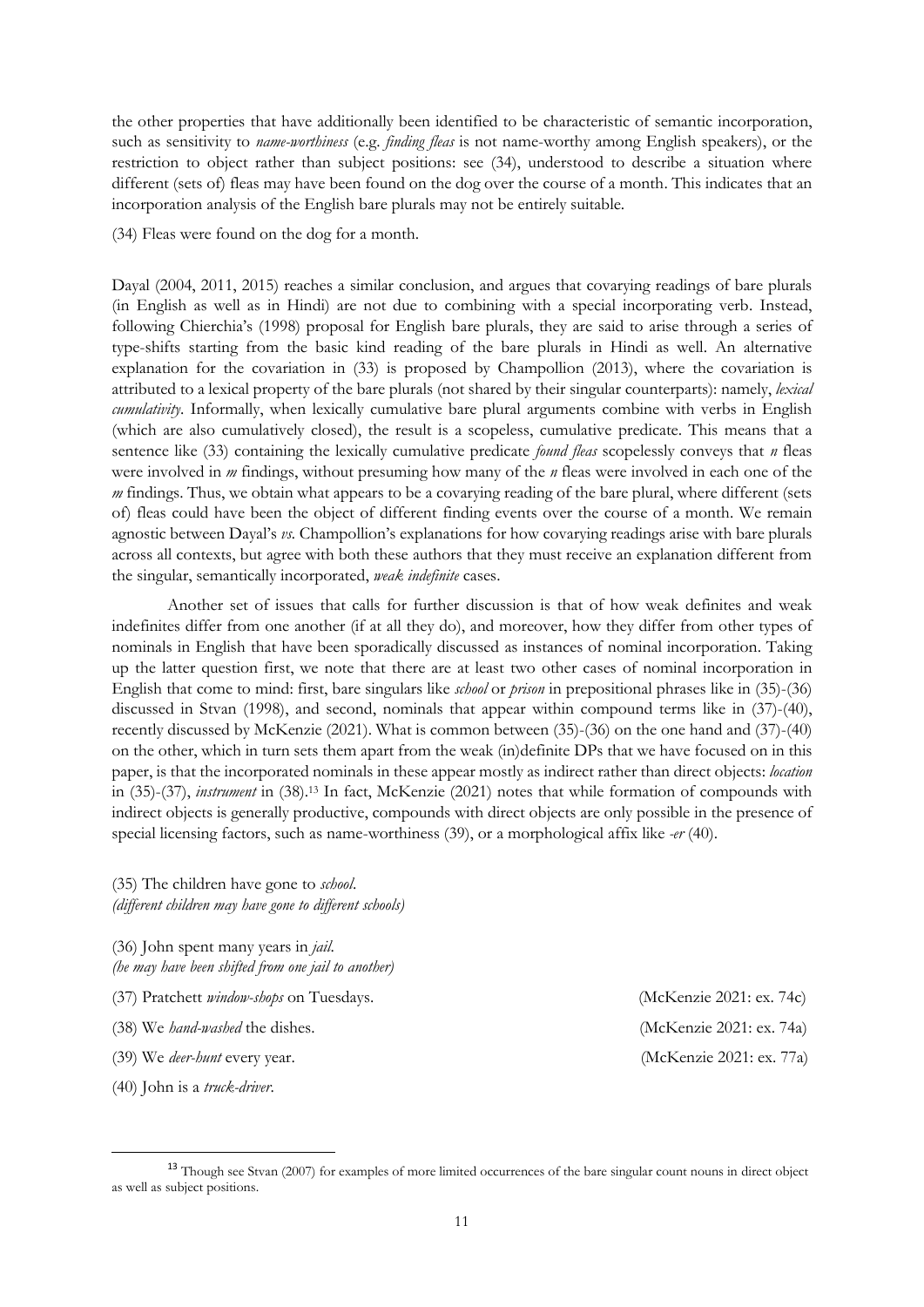the other properties that have additionally been identified to be characteristic of semantic incorporation, such as sensitivity to *name-worthiness* (e.g. *finding fleas* is not name-worthy among English speakers), or the restriction to object rather than subject positions: see (34), understood to describe a situation where different (sets of) fleas may have been found on the dog over the course of a month. This indicates that an incorporation analysis of the English bare plurals may not be entirely suitable.

(34) Fleas were found on the dog for a month.

Dayal (2004, 2011, 2015) reaches a similar conclusion, and argues that covarying readings of bare plurals (in English as well as in Hindi) are not due to combining with a special incorporating verb. Instead, following Chierchia's (1998) proposal for English bare plurals, they are said to arise through a series of type-shifts starting from the basic kind reading of the bare plurals in Hindi as well. An alternative explanation for the covariation in (33) is proposed by Champollion (2013), where the covariation is attributed to a lexical property of the bare plurals (not shared by their singular counterparts): namely, *lexical cumulativity*. Informally, when lexically cumulative bare plural arguments combine with verbs in English (which are also cumulatively closed), the result is a scopeless, cumulative predicate. This means that a sentence like (33) containing the lexically cumulative predicate *found fleas* scopelessly conveys that *n* fleas were involved in *m* findings, without presuming how many of the *n* fleas were involved in each one of the *m* findings. Thus, we obtain what appears to be a covarying reading of the bare plural, where different (sets of) fleas could have been the object of different finding events over the course of a month. We remain agnostic between Dayal's *vs.* Champollion's explanations for how covarying readings arise with bare plurals across all contexts, but agree with both these authors that they must receive an explanation different from the singular, semantically incorporated, *weak indefinite* cases.

Another set of issues that calls for further discussion is that of how weak definites and weak indefinites differ from one another (if at all they do), and moreover, how they differ from other types of nominals in English that have been sporadically discussed as instances of nominal incorporation. Taking up the latter question first, we note that there are at least two other cases of nominal incorporation in English that come to mind: first, bare singulars like *school* or *prison* in prepositional phrases like in (35)-(36) discussed in Stvan (1998), and second, nominals that appear within compound terms like in (37)-(40), recently discussed by McKenzie (2021). What is common between (35)-(36) on the one hand and (37)-(40) on the other, which in turn sets them apart from the weak (in)definite DPs that we have focused on in this paper, is that the incorporated nominals in these appear mostly as indirect rather than direct objects: *location* in (35)-(37), *instrument* in (38). <sup>13</sup> In fact, McKenzie (2021) notes that while formation of compounds with indirect objects is generally productive, compounds with direct objects are only possible in the presence of special licensing factors, such as name-worthiness (39), or a morphological affix like *-er* (40).

(35) The children have gone to *school*. *(different children may have gone to different schools)*

(36) John spent many years in *jail*. *(he may have been shifted from one jail to another)*

- (37) Pratchett *window-shops* on Tuesdays. (McKenzie 2021: ex. 74c)
- (38) We *hand-washed* the dishes. (McKenzie 2021: ex. 74a)
- (39) We *deer-hunt* every year. (McKenzie 2021: ex. 77a)
- (40) John is a *truck-driver*.

<sup>&</sup>lt;sup>13</sup> Though see Stvan (2007) for examples of more limited occurrences of the bare singular count nouns in direct object as well as subject positions.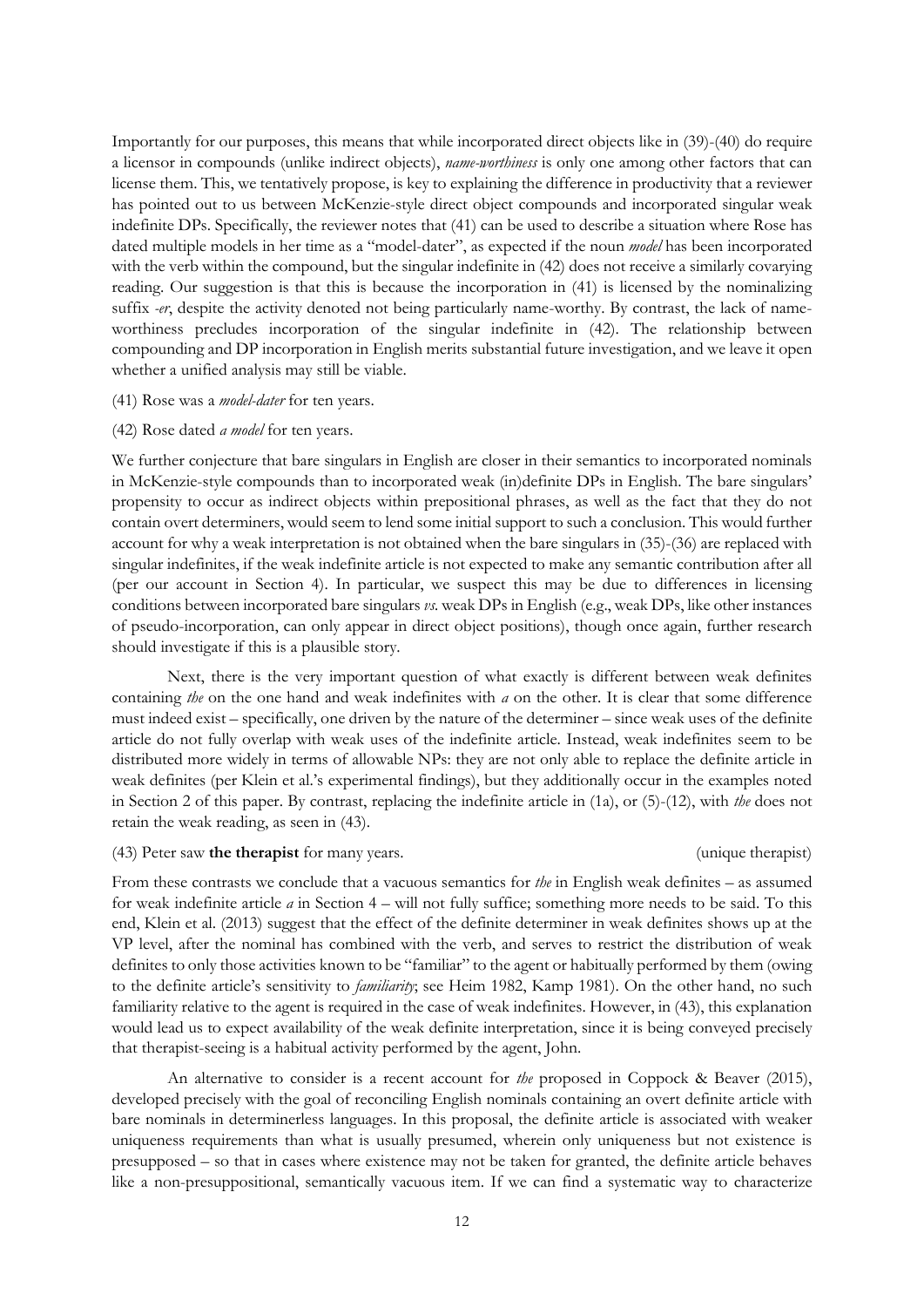Importantly for our purposes, this means that while incorporated direct objects like in (39)-(40) do require a licensor in compounds (unlike indirect objects), *name-worthiness* is only one among other factors that can license them. This, we tentatively propose, is key to explaining the difference in productivity that a reviewer has pointed out to us between McKenzie-style direct object compounds and incorporated singular weak indefinite DPs. Specifically, the reviewer notes that (41) can be used to describe a situation where Rose has dated multiple models in her time as a "model-dater", as expected if the noun *model* has been incorporated with the verb within the compound, but the singular indefinite in (42) does not receive a similarly covarying reading. Our suggestion is that this is because the incorporation in (41) is licensed by the nominalizing suffix *-er*, despite the activity denoted not being particularly name-worthy. By contrast, the lack of nameworthiness precludes incorporation of the singular indefinite in (42). The relationship between compounding and DP incorporation in English merits substantial future investigation, and we leave it open whether a unified analysis may still be viable.

## (41) Rose was a *model-dater* for ten years.

#### (42) Rose dated *a model* for ten years.

We further conjecture that bare singulars in English are closer in their semantics to incorporated nominals in McKenzie-style compounds than to incorporated weak (in)definite DPs in English. The bare singulars' propensity to occur as indirect objects within prepositional phrases, as well as the fact that they do not contain overt determiners, would seem to lend some initial support to such a conclusion. This would further account for why a weak interpretation is not obtained when the bare singulars in (35)-(36) are replaced with singular indefinites, if the weak indefinite article is not expected to make any semantic contribution after all (per our account in Section 4). In particular, we suspect this may be due to differences in licensing conditions between incorporated bare singulars *vs.* weak DPs in English (e.g., weak DPs, like other instances of pseudo-incorporation, can only appear in direct object positions), though once again, further research should investigate if this is a plausible story.

Next, there is the very important question of what exactly is different between weak definites containing *the* on the one hand and weak indefinites with *a* on the other. It is clear that some difference must indeed exist – specifically, one driven by the nature of the determiner – since weak uses of the definite article do not fully overlap with weak uses of the indefinite article. Instead, weak indefinites seem to be distributed more widely in terms of allowable NPs: they are not only able to replace the definite article in weak definites (per Klein et al.'s experimental findings), but they additionally occur in the examples noted in Section 2 of this paper. By contrast, replacing the indefinite article in (1a), or (5)-(12), with *the* does not retain the weak reading, as seen in (43).

#### (43) Peter saw **the therapist** for many years. (unique therapist)

From these contrasts we conclude that a vacuous semantics for *the* in English weak definites – as assumed for weak indefinite article *a* in Section 4 – will not fully suffice; something more needs to be said. To this end, Klein et al. (2013) suggest that the effect of the definite determiner in weak definites shows up at the VP level, after the nominal has combined with the verb, and serves to restrict the distribution of weak definites to only those activities known to be "familiar" to the agent or habitually performed by them (owing to the definite article's sensitivity to *familiarity*; see Heim 1982, Kamp 1981). On the other hand, no such familiarity relative to the agent is required in the case of weak indefinites. However, in (43), this explanation would lead us to expect availability of the weak definite interpretation, since it is being conveyed precisely that therapist-seeing is a habitual activity performed by the agent, John.

An alternative to consider is a recent account for *the* proposed in Coppock & Beaver (2015), developed precisely with the goal of reconciling English nominals containing an overt definite article with bare nominals in determinerless languages. In this proposal, the definite article is associated with weaker uniqueness requirements than what is usually presumed, wherein only uniqueness but not existence is presupposed – so that in cases where existence may not be taken for granted, the definite article behaves like a non-presuppositional, semantically vacuous item. If we can find a systematic way to characterize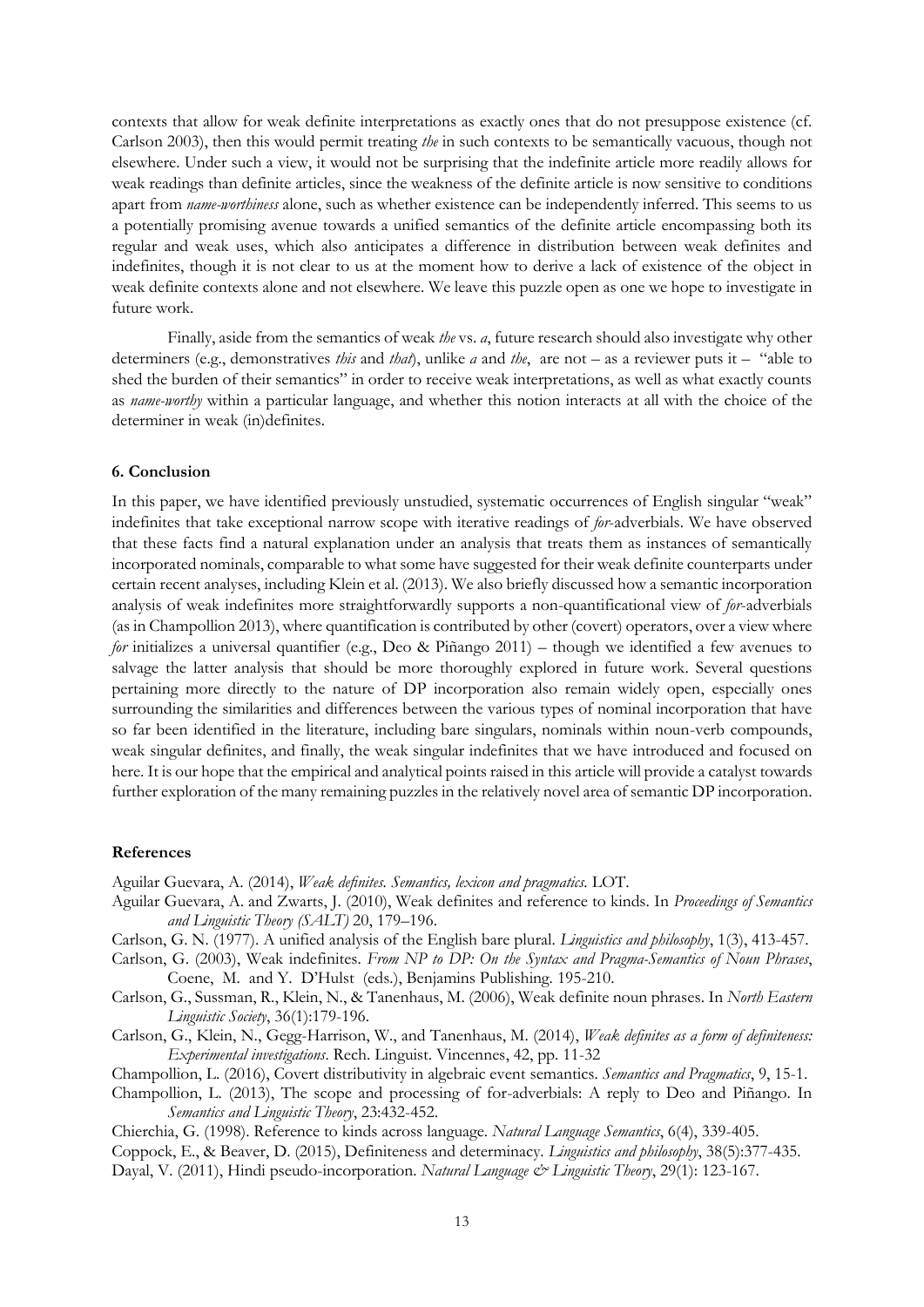contexts that allow for weak definite interpretations as exactly ones that do not presuppose existence (cf. Carlson 2003), then this would permit treating *the* in such contexts to be semantically vacuous, though not elsewhere. Under such a view, it would not be surprising that the indefinite article more readily allows for weak readings than definite articles, since the weakness of the definite article is now sensitive to conditions apart from *name-worthiness* alone, such as whether existence can be independently inferred. This seems to us a potentially promising avenue towards a unified semantics of the definite article encompassing both its regular and weak uses, which also anticipates a difference in distribution between weak definites and indefinites, though it is not clear to us at the moment how to derive a lack of existence of the object in weak definite contexts alone and not elsewhere. We leave this puzzle open as one we hope to investigate in future work.

Finally, aside from the semantics of weak *the* vs. *a*, future research should also investigate why other determiners (e.g., demonstratives *this* and *that*), unlike *a* and *the*, are not – as a reviewer puts it – "able to shed the burden of their semantics" in order to receive weak interpretations, as well as what exactly counts as *name-worthy* within a particular language, and whether this notion interacts at all with the choice of the determiner in weak (in)definites.

## **6. Conclusion**

In this paper, we have identified previously unstudied, systematic occurrences of English singular "weak" indefinites that take exceptional narrow scope with iterative readings of *for*-adverbials. We have observed that these facts find a natural explanation under an analysis that treats them as instances of semantically incorporated nominals, comparable to what some have suggested for their weak definite counterparts under certain recent analyses, including Klein et al. (2013). We also briefly discussed how a semantic incorporation analysis of weak indefinites more straightforwardly supports a non-quantificational view of *for*-adverbials (as in Champollion 2013), where quantification is contributed by other (covert) operators, over a view where *for* initializes a universal quantifier (e.g., Deo & Piñango 2011) – though we identified a few avenues to salvage the latter analysis that should be more thoroughly explored in future work. Several questions pertaining more directly to the nature of DP incorporation also remain widely open, especially ones surrounding the similarities and differences between the various types of nominal incorporation that have so far been identified in the literature, including bare singulars, nominals within noun-verb compounds, weak singular definites, and finally, the weak singular indefinites that we have introduced and focused on here. It is our hope that the empirical and analytical points raised in this article will provide a catalyst towards further exploration of the many remaining puzzles in the relatively novel area of semantic DP incorporation.

#### **References**

Aguilar Guevara, A. (2014), *Weak definites. Semantics, lexicon and pragmatics.* LOT.

- Aguilar Guevara, A. and Zwarts, J. (2010), Weak definites and reference to kinds. In *Proceedings of Semantics and Linguistic Theory (SALT)* 20, 179–196.
- Carlson, G. N. (1977). A unified analysis of the English bare plural. *Linguistics and philosophy*, 1(3), 413-457.
- Carlson, G. (2003), Weak indefinites. *From NP to DP: On the Syntax and Pragma-Semantics of Noun Phrases*, Coene, M. and Y. D'Hulst (eds.), Benjamins Publishing. 195-210.
- Carlson, G., Sussman, R., Klein, N., & Tanenhaus, M. (2006), Weak definite noun phrases. In *North Eastern Linguistic Society*, 36(1):179-196.
- Carlson, G., Klein, N., Gegg-Harrison, W., and Tanenhaus, M. (2014), *Weak definites as a form of definiteness: Experimental investigations*. Rech. Linguist. Vincennes, 42, pp. 11-32
- Champollion, L. (2016), Covert distributivity in algebraic event semantics. *Semantics and Pragmatics*, 9, 15-1.
- Champollion, L. (2013), The scope and processing of for-adverbials: A reply to Deo and Piñango. In *Semantics and Linguistic Theory*, 23:432-452.

Chierchia, G. (1998). Reference to kinds across language. *Natural Language Semantics*, 6(4), 339-405. Coppock, E., & Beaver, D. (2015), Definiteness and determinacy. *Linguistics and philosophy*, 38(5):377-435. Dayal, V. (2011), Hindi pseudo-incorporation. *Natural Language & Linguistic Theory*, 29(1): 123-167.